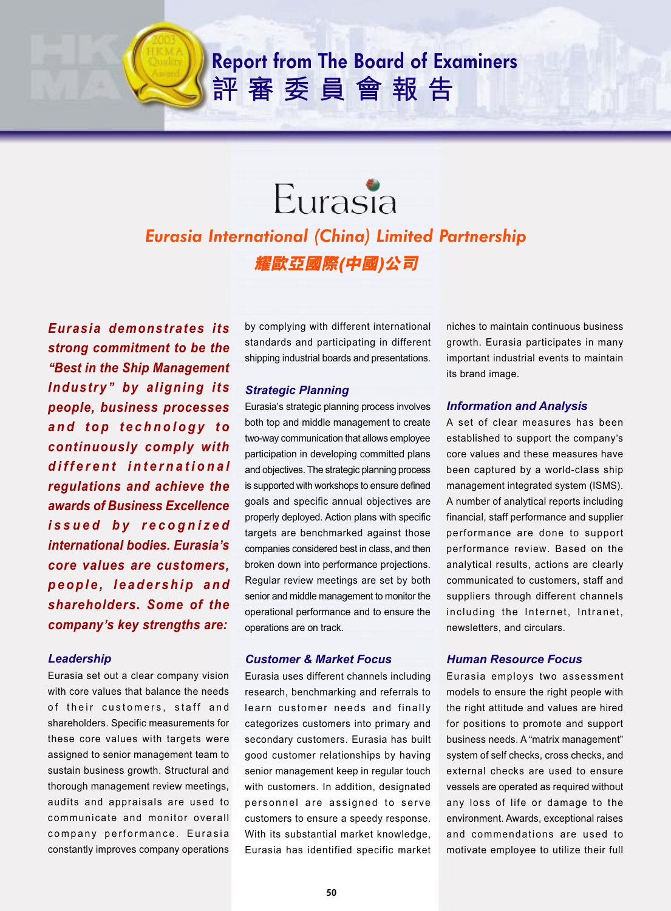# **Report from The Board of Examiners** 評審委員會報告

# Eurasia *Eurasia International (China) Limited Partnership 耀歐亞國際(中國)公司*

*Eurasia demonstrates its strong commitment to be the* **"***Best in the Ship Management Industry***"** *by aligning its people, business processes and top technology to continuously comply with different international regulations and achieve the awards of Business Excellence issued by recognized international bodies. Eurasia***'***s core values are customers, people, leadership and shareholders. Some of the company***'***s key strengths are:*

# *Leadership*

Eurasia set out a clear company vision with core values that balance the needs of their customers, staff and shareholders. Specific measurements for these core values with targets were assigned to senior management team to sustain business growth. Structural and thorough management review meetings, audits and appraisals are used to communicate and monitor overall company performance. Eurasia constantly improves company operations

by complying with different international standards and participating in different shipping industrial boards and presentations.

## *Strategic Planning*

Eurasia's strategic planning process involves both top and middle management to create two-way communication that allows employee participation in developing committed plans and objectives. The strategic planning process is supported with workshops to ensure defined goals and specific annual objectives are properly deployed. Action plans with specific targets are benchmarked against those companies considered best in class, and then broken down into performance projections. Regular review meetings are set by both senior and middle management to monitor the operational performance and to ensure the operations are on track.

#### *Customer & Market Focus*

Eurasia uses different channels including research, benchmarking and referrals to learn customer needs and finally categorizes customers into primary and secondary customers. Eurasia has built good customer relationships by having senior management keep in regular touch with customers. In addition, designated personnel are assigned to serve customers to ensure a speedy response. With its substantial market knowledge, Eurasia has identified specific market

niches to maintain continuous business growth. Eurasia participates in many important industrial events to maintain its brand image.

#### *Information and Analysis*

A set of clear measures has been established to support the company's core values and these measures have been captured by a world-class ship management integrated system (ISMS). A number of analytical reports including financial, staff performance and supplier performance are done to support performance review. Based on the analytical results, actions are clearly communicated to customers, staff and suppliers through different channels including the Internet, Intranet, newsletters, and circulars.

#### *Human Resource Focus*

Eurasia employs two assessment models to ensure the right people with the right attitude and values are hired for positions to promote and support business needs. A "matrix management" system of self checks, cross checks, and external checks are used to ensure vessels are operated as required without any loss of life or damage to the environment. Awards, exceptional raises and commendations are used to motivate employee to utilize their full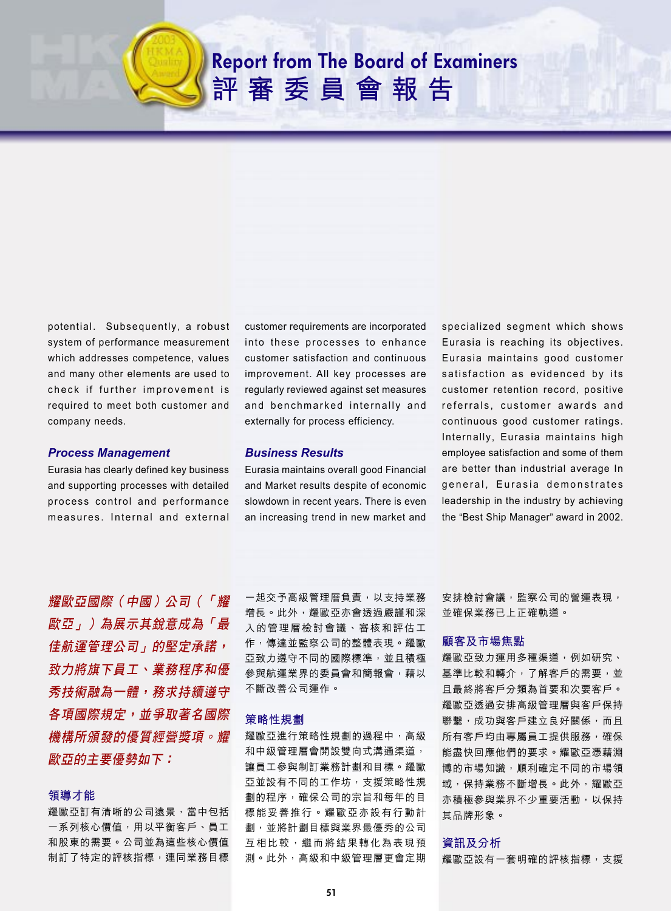# **Report from The Board of Examiners** 評審委員會報告

potential. Subsequently, a robust system of performance measurement which addresses competence, values and many other elements are used to check if further improvement is required to meet both customer and company needs.

## *Process Management*

Eurasia has clearly defined key business and supporting processes with detailed process control and performance measures. Internal and external customer requirements are incorporated into these processes to enhance customer satisfaction and continuous improvement. All key processes are regularly reviewed against set measures and benchmarked internally and externally for process efficiency.

## *Business Results*

Eurasia maintains overall good Financial and Market results despite of economic slowdown in recent years. There is even an increasing trend in new market and specialized segment which shows Eurasia is reaching its objectives. Eurasia maintains good customer satisfaction as evidenced by its customer retention record, positive referrals, customer awards and continuous good customer ratings. Internally, Eurasia maintains high employee satisfaction and some of them are better than industrial average In general, Eurasia demonstrates leadership in the industry by achieving the "Best Ship Manager" award in 2002.

耀歐亞國際(中國)公司(「耀 歐亞」)為展示其銳意成為「最 *佳航運管理公司」的堅定承諾,* 致力將旗下員工丶業務程序和優 秀技術融為一體,務求持續遵守 各項國際規定,並爭取著名國際 機構所頒發的優質經營獎項。耀 *歐亞的主要優勢如下:* 

#### 領導才能

耀歐亞訂有清晰的公司遠景,當中包括 一系列核心價值,用以平衡客戶、員工 和股東的需要。公司並為這些核心價值 制訂了特定的評核指標,連同業務目標

一起交予高級管理層負責,以支持業務 增長。此外,耀歐亞亦會透過嚴謹和深 入的管理層檢討會議丶審核和評估工 作,傳達並監察公司的整體表現。耀歐 亞致力遵守不同的國際標準,並且積極 參與航運業界的委員會和簡報會,藉以 不斷改善公司運作。

#### 策略性規劃

耀歐亞進行策略性規劃的過程中,高級 和中級管理層會開設雙向式溝通渠道, 讓員工參與制訂業務計劃和目標。耀歐 亞並設有不同的工作坊,支援策略性規 劃的程序,確保公司的宗旨和每年的目 標能妥善推行。耀歐亞亦設有行動計 劃,並將計劃目標與業界最優秀的公司 互相比較,繼而將結果轉化為表現預 測。此外,高級和中級管理層更會定期 安排檢討會議,監察公司的營運表現, 並確保業務已上正確軌道。

#### 顧客及市場焦點

耀歐亞致力運用多種渠道,例如研究丶 基準比較和轉介,了解客戶的需要,並 且最終將客戶分類為首要和次要客戶。 耀歐亞透過安排高級管理層與客戶保持 聯繫,成功與客戶建立良好關係,而且 所有客戶均由專屬員工提供服務,確保 能盡快回應他們的要求。耀歐亞憑藉淵 博的市場知識,順利確定不同的市場領 域,保持業務不斷增長。此外,耀歐亞 亦積極參與業界不少重要活動,以保持 其品牌形象。

#### 資訊及分析

耀歐亞設有一套明確的評核指標,支援